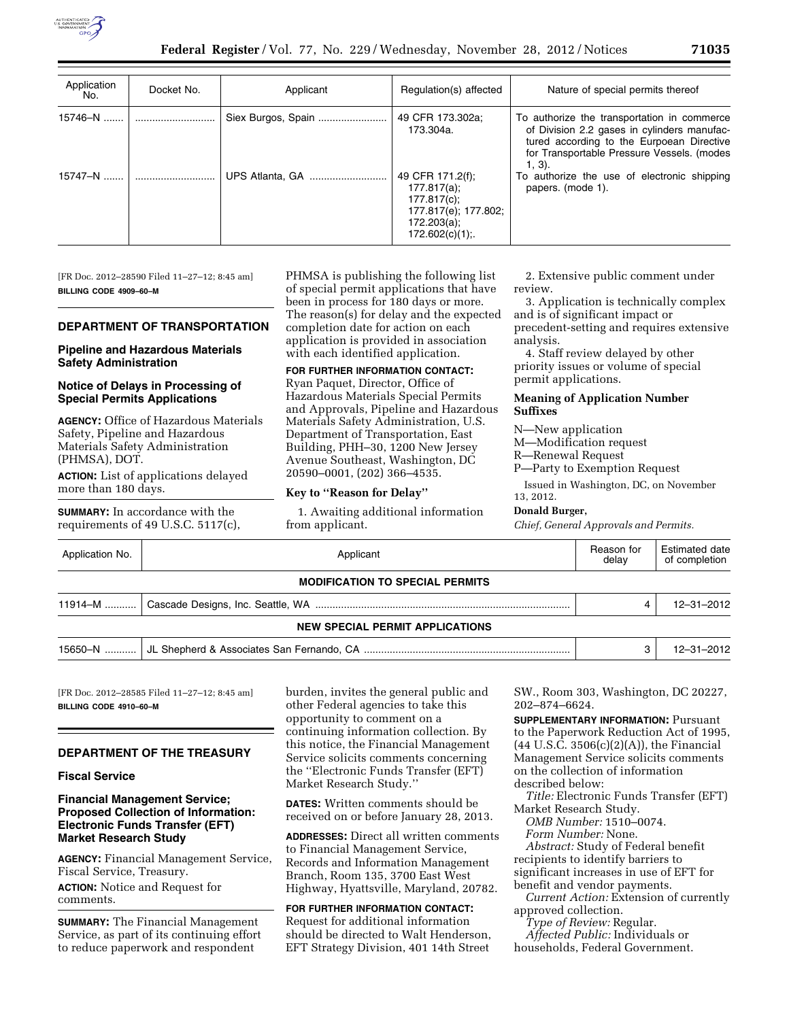

| Application<br>No. | Docket No. | Applicant       | Regulation(s) affected                                                                                        | Nature of special permits thereof                                                                                                                                                                  |
|--------------------|------------|-----------------|---------------------------------------------------------------------------------------------------------------|----------------------------------------------------------------------------------------------------------------------------------------------------------------------------------------------------|
| $15746 - N$        |            |                 | 49 CFR 173.302a;<br>173.304a.                                                                                 | To authorize the transportation in commerce<br>of Division 2.2 gases in cylinders manufac-<br>tured according to the Eurpoean Directive<br>for Transportable Pressure Vessels. (modes<br>$1, 3)$ . |
| $15747 - N$        |            | UPS Atlanta, GA | 49 CFR 171.2(f);<br>$177.817(a)$ ;<br>177.817(c);<br>177.817(e); 177.802;<br>172.203(a);<br>$172.602(c)(1)$ ; | To authorize the use of electronic shipping<br>papers. (mode 1).                                                                                                                                   |

[FR Doc. 2012–28590 Filed 11–27–12; 8:45 am] **BILLING CODE 4909–60–M** 

### **DEPARTMENT OF TRANSPORTATION**

### **Pipeline and Hazardous Materials Safety Administration**

### **Notice of Delays in Processing of Special Permits Applications**

**AGENCY:** Office of Hazardous Materials Safety, Pipeline and Hazardous Materials Safety Administration (PHMSA), DOT.

**ACTION:** List of applications delayed more than 180 days.

**SUMMARY:** In accordance with the requirements of 49 U.S.C. 5117(c), PHMSA is publishing the following list of special permit applications that have been in process for 180 days or more. The reason(s) for delay and the expected completion date for action on each application is provided in association with each identified application.

## **FOR FURTHER INFORMATION CONTACT:**

Ryan Paquet, Director, Office of Hazardous Materials Special Permits and Approvals, Pipeline and Hazardous Materials Safety Administration, U.S. Department of Transportation, East Building, PHH–30, 1200 New Jersey Avenue Southeast, Washington, DC 20590–0001, (202) 366–4535.

#### **Key to ''Reason for Delay''**

1. Awaiting additional information from applicant.

2. Extensive public comment under review.

3. Application is technically complex and is of significant impact or precedent-setting and requires extensive analysis.

4. Staff review delayed by other priority issues or volume of special permit applications.

#### **Meaning of Application Number Suffixes**

N—New application

M—Modification request

R—Renewal Request

P—Party to Exemption Request

Issued in Washington, DC, on November 13, 2012.

#### **Donald Burger,**

*Chief, General Approvals and Permits.* 

| Application No.                        | Applicant                              |  | <b>Estimated date</b><br>of completion |  |  |  |  |
|----------------------------------------|----------------------------------------|--|----------------------------------------|--|--|--|--|
| <b>MODIFICATION TO SPECIAL PERMITS</b> |                                        |  |                                        |  |  |  |  |
|                                        |                                        |  | 12-31-2012                             |  |  |  |  |
|                                        | <b>NEW SPECIAL PERMIT APPLICATIONS</b> |  |                                        |  |  |  |  |
|                                        |                                        |  | 12-31-2012                             |  |  |  |  |

[FR Doc. 2012–28585 Filed 11–27–12; 8:45 am] **BILLING CODE 4910–60–M** 

### **DEPARTMENT OF THE TREASURY**

#### **Fiscal Service**

# **Financial Management Service; Proposed Collection of Information: Electronic Funds Transfer (EFT) Market Research Study**

**AGENCY:** Financial Management Service, Fiscal Service, Treasury. **ACTION:** Notice and Request for comments.

**SUMMARY:** The Financial Management Service, as part of its continuing effort to reduce paperwork and respondent

burden, invites the general public and other Federal agencies to take this opportunity to comment on a continuing information collection. By this notice, the Financial Management Service solicits comments concerning the ''Electronic Funds Transfer (EFT) Market Research Study.''

**DATES:** Written comments should be received on or before January 28, 2013.

**ADDRESSES:** Direct all written comments to Financial Management Service, Records and Information Management Branch, Room 135, 3700 East West Highway, Hyattsville, Maryland, 20782.

**FOR FURTHER INFORMATION CONTACT:**  Request for additional information should be directed to Walt Henderson, EFT Strategy Division, 401 14th Street SW., Room 303, Washington, DC 20227, 202–874–6624.

**SUPPLEMENTARY INFORMATION: Pursuant** to the Paperwork Reduction Act of 1995,  $(44 \text{ U.S.C. } 3506(c)(2)(A))$ , the Financial Management Service solicits comments on the collection of information described below:

*Title:* Electronic Funds Transfer (EFT) Market Research Study.

*OMB Number:* 1510–0074.

*Form Number:* None. *Abstract:* Study of Federal benefit recipients to identify barriers to

significant increases in use of EFT for benefit and vendor payments.

*Current Action:* Extension of currently approved collection.

*Type of Review:* Regular.

*Affected Public:* Individuals or

households, Federal Government.